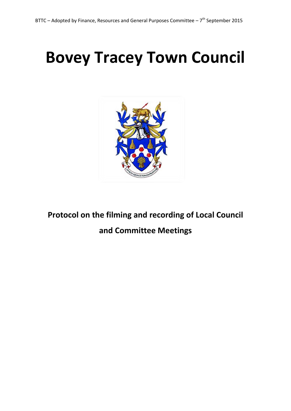# **Bovey Tracey Town Council**



**Protocol on the filming and recording of Local Council and Committee Meetings**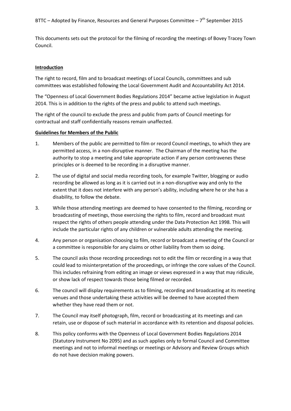This documents sets out the protocol for the filming of recording the meetings of Bovey Tracey Town Council.

## **Introduction**

The right to record, film and to broadcast meetings of Local Councils, committees and sub committees was established following the Local Government Audit and Accountability Act 2014.

The "Openness of Local Government Bodies Regulations 2014" became active legislation in August 2014. This is in addition to the rights of the press and public to attend such meetings.

The right of the council to exclude the press and public from parts of Council meetings for contractual and staff confidentially reasons remain unaffected.

#### **Guidelines for Members of the Public**

- 1. Members of the public are permitted to film or record Council meetings, to which they are permitted access, in a non-disruptive manner. The Chairman of the meeting has the authority to stop a meeting and take appropriate action if any person contravenes these principles or is deemed to be recording in a disruptive manner.
- 2. The use of digital and social media recording tools, for example Twitter, blogging or audio recording be allowed as long as it is carried out in a non-disruptive way and only to the extent that it does not interfere with any person's ability, including where he or she has a disability, to follow the debate.
- 3. While those attending meetings are deemed to have consented to the filming, recording or broadcasting of meetings, those exercising the rights to film, record and broadcast must respect the rights of others people attending under the Data Protection Act 1998. This will include the particular rights of any children or vulnerable adults attending the meeting.
- 4. Any person or organisation choosing to film, record or broadcast a meeting of the Council or a committee is responsible for any claims or other liability from them so doing.
- 5. The council asks those recording proceedings not to edit the film or recording in a way that could lead to misinterpretation of the proceedings, or infringe the core values of the Council. This includes refraining from editing an image or views expressed in a way that may ridicule, or show lack of respect towards those being filmed or recorded.
- 6. The council will display requirements as to filming, recording and broadcasting at its meeting venues and those undertaking these activities will be deemed to have accepted them whether they have read them or not.
- 7. The Council may itself photograph, film, record or broadcasting at its meetings and can retain, use or dispose of such material in accordance with its retention and disposal policies.
- 8. This policy conforms with the Openness of Local Government Bodies Regulations 2014 (Statutory Instrument No 2095) and as such applies only to formal Council and Committee meetings and not to informal meetings or meetings or Advisory and Review Groups which do not have decision making powers.